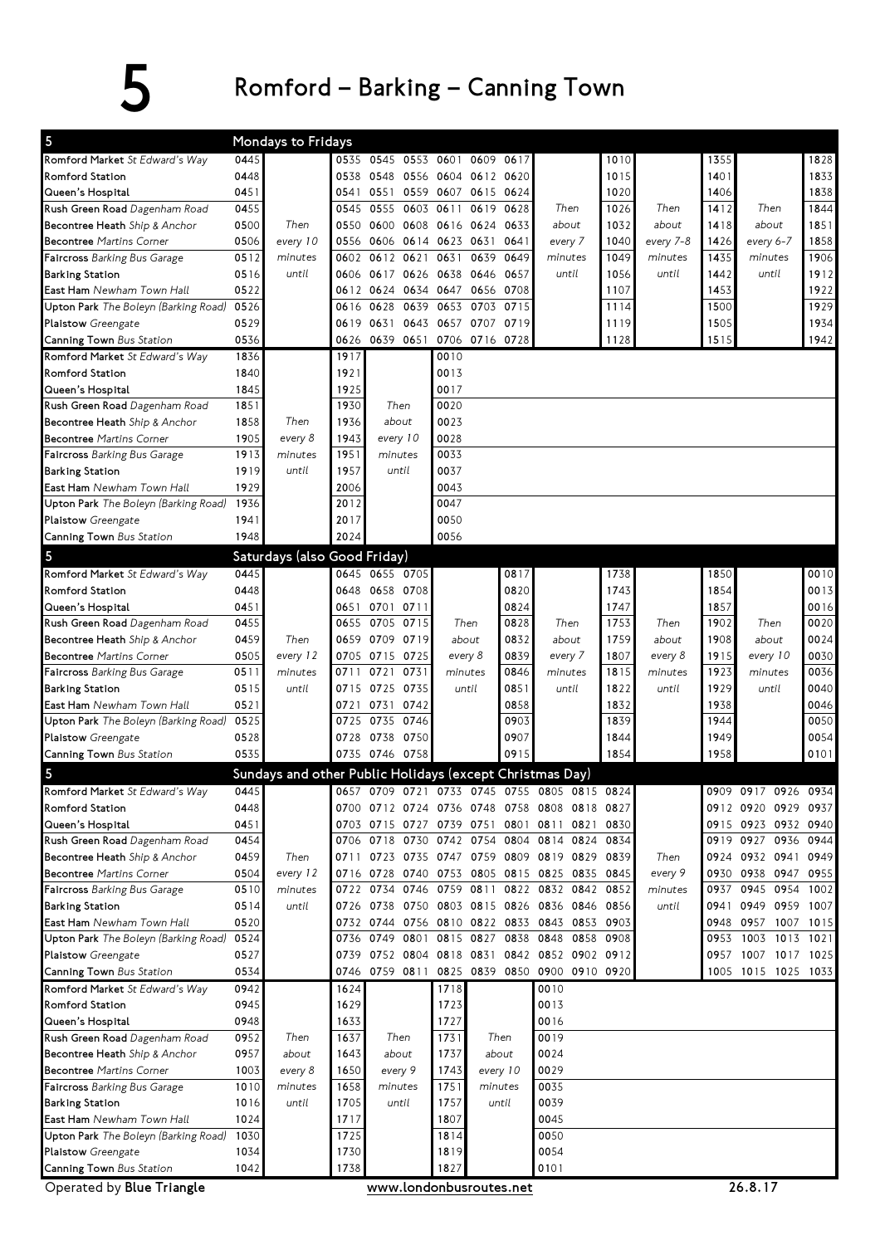## 5 Romford – Barking – Canning Town

| 5                                                     |      | Mondays to Fridays                                       |      |                               |                                 |           |                                              |      |           |      |                     |      |  |  |
|-------------------------------------------------------|------|----------------------------------------------------------|------|-------------------------------|---------------------------------|-----------|----------------------------------------------|------|-----------|------|---------------------|------|--|--|
| Romford Market St Edward's Way                        | 0445 |                                                          | 0535 | 0545 0553 0601                |                                 | 0609 0617 |                                              | 1010 |           | 1355 |                     | 1828 |  |  |
| <b>Romford Station</b>                                | 0448 |                                                          | 0538 |                               | 0548 0556 0604 0612 0620        |           |                                              | 1015 |           | 1401 |                     | 1833 |  |  |
| Queen's Hospital                                      | 0451 |                                                          | 0541 |                               | 0551 0559 0607 0615 0624        |           |                                              | 1020 |           | 1406 |                     | 1838 |  |  |
| Rush Green Road Dagenham Road                         | 0455 |                                                          | 0545 | 0555<br>0603                  | 0611                            | 0619 0628 | Then                                         | 1026 | Then      | 1412 | Then                | 1844 |  |  |
| Becontree Heath Ship & Anchor                         | 0500 | Then                                                     | 0550 |                               | 0600 0608 0616 0624 0633        |           | about                                        | 1032 | about     | 1418 | about               | 1851 |  |  |
| <b>Becontree Martins Corner</b>                       | 0506 | every 10                                                 | 0556 |                               | 0606 0614 0623 0631 0641        |           | every 7                                      | 1040 | every 7-8 | 1426 | every 6-7           | 1858 |  |  |
| <b>Faircross</b> Barking Bus Garage                   | 0512 | minutes                                                  | 0602 | 0612 0621                     | 0631                            | 0639 0649 | minutes                                      | 1049 | minutes   | 1435 | minutes             | 1906 |  |  |
| Barking Station                                       | 0516 | until                                                    | 0606 | 0617 0626                     | 0638 0646 0657                  |           | until                                        | 1056 | until     | 1442 | until               | 1912 |  |  |
| <b>East Ham</b> Newham Town Hall                      | 0522 |                                                          | 0612 | 0624                          | 0634 0647                       | 0656 0708 |                                              | 1107 |           | 1453 |                     | 1922 |  |  |
| Upton Park The Boleyn (Barking Road)                  | 0526 |                                                          | 0616 | 0628<br>0639                  | 0703<br>0653                    | 0715      |                                              | 1114 |           | 1500 |                     | 1929 |  |  |
| Plaistow Greengate                                    | 0529 |                                                          | 0619 | 0631                          | 0643 0657                       | 0707 0719 |                                              | 1119 |           | 1505 |                     | 1934 |  |  |
| <b>Canning Town</b> Bus Station                       | 0536 |                                                          | 0626 |                               | 0639 0651 0706 0716 0728        |           |                                              | 1128 |           | 1515 |                     | 1942 |  |  |
| Romford Market St Edward's Way                        | 1836 |                                                          | 1917 |                               | 0010                            |           |                                              |      |           |      |                     |      |  |  |
| Romford Station                                       | 1840 |                                                          | 1921 |                               | 0013                            |           |                                              |      |           |      |                     |      |  |  |
| Queen's Hospital                                      | 1845 |                                                          | 1925 |                               | 0017                            |           |                                              |      |           |      |                     |      |  |  |
| <b>Rush Green Road</b> Dagenham Road                  | 1851 |                                                          | 1930 | Then                          | 0020                            |           |                                              |      |           |      |                     |      |  |  |
| Becontree Heath Ship & Anchor                         | 1858 | Then                                                     | 1936 | about                         | 0023                            |           |                                              |      |           |      |                     |      |  |  |
| <b>Becontree Martins Corner</b>                       | 1905 | every 8                                                  | 1943 | every 10                      | 0028                            |           |                                              |      |           |      |                     |      |  |  |
| Faircross Barking Bus Garage                          | 1913 | minutes                                                  | 1951 | minutes                       | 0033                            |           |                                              |      |           |      |                     |      |  |  |
| Barking Station                                       | 1919 | until                                                    | 1957 | until                         | 0037                            |           |                                              |      |           |      |                     |      |  |  |
| <b>East Ham</b> Newham Town Hall                      | 1929 |                                                          | 2006 |                               | 0043                            |           |                                              |      |           |      |                     |      |  |  |
| Upton Park The Boleyn (Barking Road)                  | 1936 |                                                          | 2012 |                               | 0047                            |           |                                              |      |           |      |                     |      |  |  |
| Plaistow Greengate                                    | 1941 |                                                          | 2017 |                               | 0050                            |           |                                              |      |           |      |                     |      |  |  |
| Canning Town Bus Station                              | 1948 |                                                          | 2024 |                               | 0056                            |           |                                              |      |           |      |                     |      |  |  |
|                                                       |      |                                                          |      |                               |                                 |           |                                              |      |           |      |                     |      |  |  |
| 5                                                     |      | Saturdays (also Good Friday)                             |      |                               |                                 |           |                                              |      |           |      |                     |      |  |  |
| Romford Market St Edward's Way                        | 0445 |                                                          |      | 0645 0655 0705                |                                 | 0817      |                                              | 1738 |           | 1850 |                     | 0010 |  |  |
| Romford Station                                       | 0448 |                                                          | 0648 | 0658 0708                     |                                 | 0820      |                                              | 1743 |           | 1854 |                     | 0013 |  |  |
| Queen's Hospital                                      | 0451 |                                                          | 0651 | 0701 0711                     |                                 | 0824      |                                              | 1747 |           | 1857 |                     | 0016 |  |  |
| Rush Green Road Dagenham Road                         | 0455 |                                                          | 0655 | 0705 0715                     | Then                            | 0828      | Then                                         | 1753 | Then      | 1902 | Then                | 0020 |  |  |
| <b>Becontree Heath</b> Ship & Anchor                  | 0459 | Then                                                     | 0659 | 0709 0719                     | about                           | 0832      | about                                        | 1759 | about     | 1908 | about               | 0024 |  |  |
| <b>Becontree Martins Corner</b>                       | 0505 | every 12                                                 | 0705 | 0715 0725                     | every 8                         | 0839      | every 7                                      | 1807 | every 8   | 1915 | every 10            | 0030 |  |  |
| <b>Faircross</b> Barking Bus Garage                   | 0511 | minutes                                                  | 0711 | 0731<br>0721                  | minutes                         | 0846      | minutes                                      | 1815 | minutes   | 1923 | minutes             | 0036 |  |  |
| Barking Station                                       | 0515 | until                                                    | 0715 | 0725 0735                     | until                           | 0851      | until                                        | 1822 | until     | 1929 | until               | 0040 |  |  |
| East Ham Newham Town Hall                             | 0521 |                                                          | 0721 | 0731<br>0742                  |                                 | 0858      |                                              | 1832 |           | 1938 |                     | 0046 |  |  |
| Upton Park The Boleyn (Barking Road)                  | 0525 |                                                          | 0725 | 0735 0746                     |                                 | 0903      |                                              | 1839 |           | 1944 |                     | 0050 |  |  |
| Plaistow Greengate                                    | 0528 |                                                          | 0728 | 0738 0750                     |                                 | 0907      |                                              | 1844 |           | 1949 |                     | 0054 |  |  |
| <b>Canning Town</b> Bus Station                       | 0535 |                                                          |      | 0735 0746 0758                |                                 | 0915      |                                              | 1854 |           | 1958 |                     | 0101 |  |  |
| 5                                                     |      | Sundays and other Public Holidays (except Christmas Day) |      |                               |                                 |           |                                              |      |           |      |                     |      |  |  |
| Romford Market St Edward's Way                        | 0445 |                                                          |      |                               |                                 |           | 0657 0709 0721 0733 0745 0755 0805 0815 0824 |      |           |      | 0909 0917 0926 0934 |      |  |  |
| Romford Station                                       | 0448 |                                                          |      |                               |                                 |           | 0700 0712 0724 0736 0748 0758 0808 0818 0827 |      |           |      | 0912 0920 0929 0937 |      |  |  |
| Queen's Hospital                                      | 0451 |                                                          |      |                               |                                 |           | 0703 0715 0727 0739 0751 0801 0811 0821      | 0830 |           |      | 0915 0923 0932 0940 |      |  |  |
| Rush Green Road Dagenham Road                         | 0454 |                                                          |      | 0706 0718 0730                | 0742 0754 0804                  |           | 0814 0824                                    | 0834 |           |      | 0919 0927 0936      | 0944 |  |  |
| Becontree Heath Ship & Anchor                         | 0459 | Then                                                     | 0711 |                               |                                 |           | 0723 0735 0747 0759 0809 0819 0829 0839      |      | Then      |      | 0924 0932 0941 0949 |      |  |  |
| <b>Becontree Martins Corner</b>                       | 0504 | every 12                                                 |      | 0716 0728 0740 0753 0805 0815 |                                 |           | 0825 0835 0845                               |      | every 9   | 0930 | 0938 0947 0955      |      |  |  |
| Faircross Barking Bus Garage                          | 0510 | minutes                                                  |      | 0722 0734 0746                | 0759 0811 0822                  |           | 0832 0842 0852                               |      | minutes   | 0937 | 0945 0954           | 1002 |  |  |
| <b>Barking Station</b>                                | 0514 | until                                                    | 0726 |                               | 0738 0750 0803 0815 0826        |           | 0836 0846 0856                               |      | until     | 0941 | 0949 0959 1007      |      |  |  |
| East Ham Newham Town Hall                             | 0520 |                                                          |      | 0732 0744 0756 0810 0822 0833 |                                 |           | 0843 0853 0903                               |      |           |      | 0948 0957 1007      | 1015 |  |  |
| Upton Park The Boleyn (Barking Road)                  | 0524 |                                                          | 0736 | 0749 0801                     | 0815 0827 0838                  |           | 0848 0858 0908                               |      |           | 0953 | 1003 1013           | 1021 |  |  |
| Plaistow Greengate                                    | 0527 |                                                          | 0739 |                               |                                 |           | 0752 0804 0818 0831 0842 0852 0902 0912      |      |           |      | 0957 1007 1017      | 1025 |  |  |
| Canning Town Bus Station                              | 0534 |                                                          | 0746 | 0759 0811                     | 0825                            | 0839 0850 | 0900 0910 0920                               |      |           |      | 1005 1015 1025 1033 |      |  |  |
| Romford Market St Edward's Way                        | 0942 |                                                          | 1624 |                               | 1718                            |           | 0010                                         |      |           |      |                     |      |  |  |
| Romford Station                                       | 0945 |                                                          | 1629 |                               | 1723                            |           | 0013                                         |      |           |      |                     |      |  |  |
| Queen's Hospital                                      | 0948 |                                                          | 1633 |                               | 1727                            |           | 0016                                         |      |           |      |                     |      |  |  |
| Rush Green Road Dagenham Road                         | 0952 | Then                                                     | 1637 | Then                          | 1731                            | Then      | 0019                                         |      |           |      |                     |      |  |  |
| Becontree Heath Ship & Anchor                         | 0957 | about                                                    | 1643 | about                         | 1737                            | about     | 0024                                         |      |           |      |                     |      |  |  |
| <b>Becontree Martins Corner</b>                       | 1003 | every 8                                                  | 1650 | every 9                       | 1743                            | every 10  | 0029                                         |      |           |      |                     |      |  |  |
|                                                       | 1010 | minutes                                                  | 1658 | minutes                       | 1751                            | minutes   | 0035                                         |      |           |      |                     |      |  |  |
| <b>Faircross</b> Barking Bus Garage                   | 1016 |                                                          | 1705 |                               | 1757                            | until     | 0039                                         |      |           |      |                     |      |  |  |
| <b>Barking Station</b>                                |      | until                                                    |      | until                         |                                 |           |                                              |      |           |      |                     |      |  |  |
|                                                       |      |                                                          |      |                               |                                 |           |                                              |      |           |      |                     |      |  |  |
| East Ham Newham Town Hall                             | 1024 |                                                          | 1717 |                               | 1807                            |           | 0045                                         |      |           |      |                     |      |  |  |
| Upton Park The Boleyn (Barking Road)                  | 1030 |                                                          | 1725 |                               | 1814                            |           | 0050                                         |      |           |      |                     |      |  |  |
| Plaistow Greengate                                    | 1034 |                                                          | 1730 |                               | 1819                            |           | 0054                                         |      |           |      |                     |      |  |  |
| Canning Town Bus Station<br>Operated by Blue Triangle | 1042 |                                                          | 1738 |                               | 1827<br>www.londonbusroutes.net |           | 0101                                         |      |           |      | 26.8.17             |      |  |  |